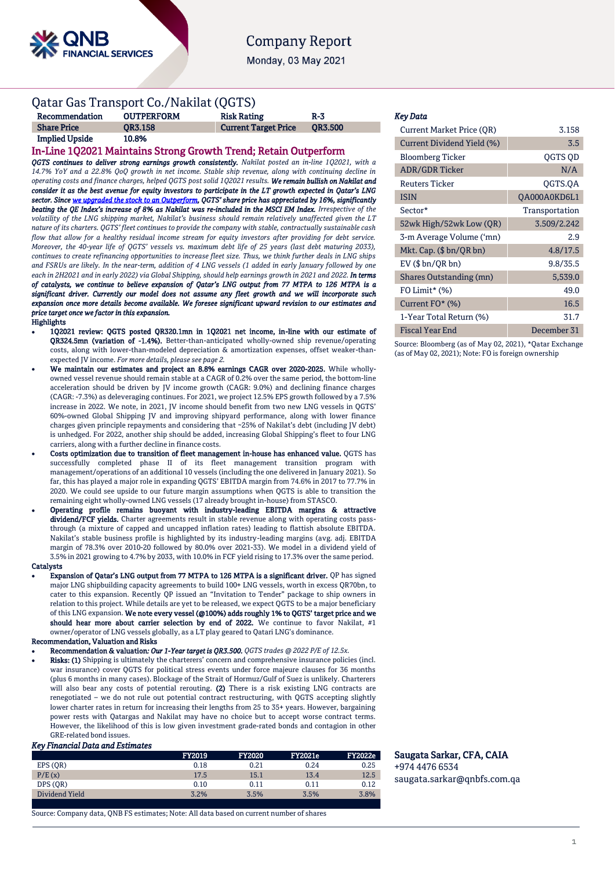

# **Company Report**

Monday, 03 May 2021

## Qatar Gas Transport Co./Nakilat (QGTS)

| Recommendation        | <b>OUTPERFORM</b> | <b>Risk Rating</b>          | R-3            |
|-----------------------|-------------------|-----------------------------|----------------|
| <b>Share Price</b>    | <b>OR3.158</b>    | <b>Current Target Price</b> | <b>OR3.500</b> |
| <b>Implied Upside</b> | 10.8%             |                             |                |

## In-Line 1Q2021 Maintains Strong Growth Trend; Retain Outperform

*QGTS continues to deliver strong earnings growth consistently. Nakilat posted an in-line 1Q2021, with a 14.7% YoY and a 22.8% QoQ growth in net income. Stable ship revenue, along with continuing decline in operating costs and finance charges, helped QGTS post solid 1Q2021 results. We remain bullish on Nakilat and consider it as the best avenue for equity investors to participate in the LT growth expected in Qatar's LNG sector. Sinc[e we upgraded the stock to an Outperform](https://www.qnb.com/sites/qnb/qnbfs/document/en/QGTS-11-11-2020), QGTS' share price has appreciated by 16%, significantly beating the QE Index's increase of 8% as Nakilat was re-included in the MSCI EM Index. Irrespective of the volatility of the LNG shipping market, Nakilat's business should remain relatively unaffected given the LT nature of its charters. QGTS' fleet continues to provide the company with stable, contractually sustainable cash flow that allow for a healthy residual income stream for equity investors after providing for debt service. Moreover, the 40-year life of QGTS' vessels vs. maximum debt life of 25 years (last debt maturing 2033), continues to create refinancing opportunities to increase fleet size. Thus, we think further deals in LNG ships and FSRUs are likely. In the near-term, addition of 4 LNG vessels (1 added in early January followed by one each in 2H2021 and in early 2022) via Global Shipping, should help earnings growth in 2021 and 2022. In terms of catalysts, we continue to believe expansion of Qatar's LNG output from 77 MTPA to 126 MTPA is a significant driver. Currently our model does not assume any fleet growth and we will incorporate such expansion once more details become available. We foresee significant upward revision to our estimates and price target once we factor in this expansion.*  **Highlights** 

- 1Q2021 review: QGTS posted QR320.1mn in 1Q2021 net income, in-line with our estimate of QR324.5mn (variation of -1.4%). Better-than-anticipated wholly-owned ship revenue/operating costs, along with lower-than-modeled depreciation & amortization expenses, offset weaker-thanexpected JV income. *For more details, please see page 2.*
- We maintain our estimates and project an 8.8% earnings CAGR over 2020-2025. While whollyowned vessel revenue should remain stable at a CAGR of 0.2% over the same period, the bottom-line acceleration should be driven by JV income growth (CAGR: 9.0%) and declining finance charges (CAGR: -7.3%) as deleveraging continues. For 2021, we project 12.5% EPS growth followed by a 7.5% increase in 2022. We note, in 2021, JV income should benefit from two new LNG vessels in QGTS' 60%-owned Global Shipping JV and improving shipyard performance, along with lower finance charges given principle repayments and considering that ~25% of Nakilat's debt (including JV debt) is unhedged. For 2022, another ship should be added, increasing Global Shipping's fleet to four LNG carriers, along with a further decline in finance costs.
- Costs optimization due to transition of fleet management in-house has enhanced value. QGTS has successfully completed phase II of its fleet management transition program with management/operations of an additional 10 vessels (including the one delivered in January 2021). So far, this has played a major role in expanding QGTS' EBITDA margin from 74.6% in 2017 to 77.7% in 2020. We could see upside to our future margin assumptions when QGTS is able to transition the remaining eight wholly-owned LNG vessels (17 already brought in-house) from STASCO.
- Operating profile remains buoyant with industry-leading EBITDA margins & attractive dividend/FCF yields. Charter agreements result in stable revenue along with operating costs passthrough (a mixture of capped and uncapped inflation rates) leading to flattish absolute EBITDA. Nakilat's stable business profile is highlighted by its industry-leading margins (avg. adj. EBITDA margin of 78.3% over 2010-20 followed by 80.0% over 2021-33). We model in a dividend yield of 3.5% in 2021 growing to 4.7% by 2033, with 10.0% in FCF yield rising to 17.3% over the same period. **Catalysts**
- Expansion of Qatar's LNG output from 77 MTPA to 126 MTPA is a significant driver. QP ha[s signed](https://www.qnb.com/sites/qnb/qnbfs/document/en/QGTS-02-06-2020) major LNG shipbuilding capacity agreements to build 100+ LNG vessels, worth in excess QR70bn, to cater to this expansion. Recently QP issued an "Invitation to Tender" package to ship owners in relation to this project. While details are yet to be released, we expect QGTS to be a major beneficiary of this LNG expansion. We note every vessel (@100%) adds roughly 1% to QGTS' target price and we should hear more about carrier selection by end of 2022. We continue to favor Nakilat, #1 owner/operator of LNG vessels globally, as a LT play geared to Qatari LNG's dominance.

## Recommendation, Valuation and Risks

- Recommendation & valuation*: Our 1-Year target is QR3.500. QGTS trades @ 2022 P/E of 12.5x.*
- Risks: (1) Shipping is ultimately the charterers' concern and comprehensive insurance policies (incl. war insurance) cover QGTS for political stress events under force majeure clauses for 36 months (plus 6 months in many cases). Blockage of the Strait of Hormuz/Gulf of Suez is unlikely. Charterers will also bear any costs of potential rerouting. (2) There is a risk existing LNG contracts are renegotiated – we do not rule out potential contract restructuring, with QGTS accepting slightly lower charter rates in return for increasing their lengths from 25 to 35+ years. However, bargaining power rests with Qatargas and Nakilat may have no choice but to accept worse contract terms. However, the likelihood of this is low given investment grade-rated bonds and contagion in other GRE-related bond issues.

#### *Key Financial Data and Estimates*

|                | <b>FY2019</b> | <b>FY2020</b> | <b>FY2021e</b> | <b>FY2022e</b> |
|----------------|---------------|---------------|----------------|----------------|
| EPS (OR)       | 0.18          | 0.21          | 0.24           | 0.25           |
| P/E(x)         | 17.5          | 15.1          | 13.4           | 12.5           |
| DPS (OR)       | 0.10          | 0.11          | 0.11           | 0.12           |
| Dividend Yield | 3.2%          | 3.5%          | 3.5%           | 3.8%           |
|                |               |               |                |                |

Source: Company data, QNB FS estimates; Note: All data based on current number of shares

#### *Key Data*

| <b>Current Market Price (OR)</b> | 3.158          |
|----------------------------------|----------------|
| Current Dividend Yield (%)       | 3.5            |
| <b>Bloomberg Ticker</b>          | <b>OGTS OD</b> |
| <b>ADR/GDR Ticker</b>            | N/A            |
| <b>Reuters Ticker</b>            | QGTS.QA        |
| <b>ISIN</b>                      | QA000A0KD6L1   |
| Sector*                          | Transportation |
| 52wk High/52wk Low (QR)          | 3.509/2.242    |
| 3-m Average Volume ('mn)         | 2.9            |
| Mkt. Cap. $(\$bn/QRbn)$          | 4.8/17.5       |
| $EV$ ( $$bn/QR bn$ )             | 9.8/35.5       |
| Shares Outstanding (mn)          | 5,539.0        |
| FO Limit* $(\%)$                 | 49.0           |
| Current $FO^*(\%)$               | 16.5           |
| 1-Year Total Return (%)          | 31.7           |
| Fiscal Year End                  | December 31    |

Source: Bloomberg (as of May 02, 2021), \*Qatar Exchange (as of May 02, 2021); Note: FO is foreign ownership

### Saugata Sarkar, CFA, CAIA +974 4476 6534 [saugata.sarkar@qnbfs.com.qa](mailto:saugata.sarkar@qnbfs.com.qa)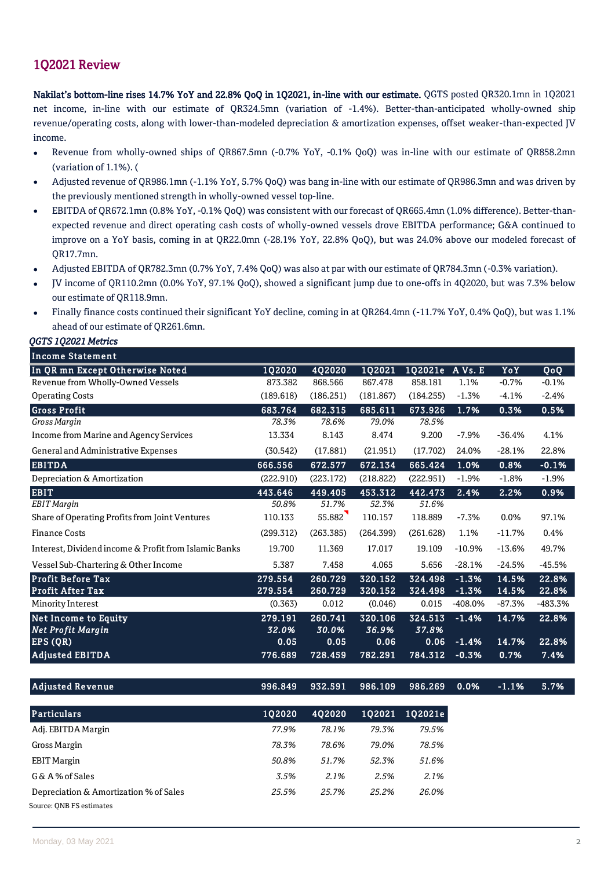# 1Q2021 Review

Nakilat's bottom-line rises 14.7% YoY and 22.8% QoQ in 1Q2021, in-line with our estimate. QGTS posted QR320.1mn in 1Q2021 net income, in-line with our estimate of QR324.5mn (variation of -1.4%). Better-than-anticipated wholly-owned ship revenue/operating costs, along with lower-than-modeled depreciation & amortization expenses, offset weaker-than-expected JV income.

- Revenue from wholly-owned ships of QR867.5mn (-0.7% YoY, -0.1% QoQ) was in-line with our estimate of QR858.2mn (variation of 1.1%). (
- Adjusted revenue of QR986.1mn (-1.1% YoY, 5.7% QoQ) was bang in-line with our estimate of QR986.3mn and was driven by the previously mentioned strength in wholly-owned vessel top-line.
- EBITDA of QR672.1mn (0.8% YoY, -0.1% QoQ) was consistent with our forecast of QR665.4mn (1.0% difference). Better-thanexpected revenue and direct operating cash costs of wholly-owned vessels drove EBITDA performance; G&A continued to improve on a YoY basis, coming in at QR22.0mn (-28.1% YoY, 22.8% QoQ), but was 24.0% above our modeled forecast of QR17.7mn.
- Adjusted EBITDA of QR782.3mn (0.7% YoY, 7.4% QoQ) was also at par with our estimate of QR784.3mn (-0.3% variation).
- JV income of QR110.2mn (0.0% YoY, 97.1% QoQ), showed a significant jump due to one-offs in 4Q2020, but was 7.3% below our estimate of QR118.9mn.
- Finally finance costs continued their significant YoY decline, coming in at QR264.4mn (-11.7% YoY, 0.4% QoQ), but was 1.1% ahead of our estimate of QR261.6mn.

| QGTS 1Q2021 Metrics                                                |                    |                    |                    |                    |                    |                |                                 |
|--------------------------------------------------------------------|--------------------|--------------------|--------------------|--------------------|--------------------|----------------|---------------------------------|
| <b>Income Statement</b>                                            |                    |                    |                    |                    |                    |                |                                 |
| In QR mn Except Otherwise Noted                                    | <b>1Q2020</b>      | 4Q2020             | 1Q2021             | 1Q2021e A Vs. E    |                    | YoY            | $\overline{Q}$ o $\overline{Q}$ |
| Revenue from Wholly-Owned Vessels                                  | 873.382            | 868.566            | 867.478            | 858.181            | 1.1%               | $-0.7%$        | $-0.1%$                         |
| <b>Operating Costs</b>                                             | (189.618)          | (186.251)          | (181.867)          | (184.255)          | $-1.3%$            | $-4.1%$        | $-2.4%$                         |
| <b>Gross Profit</b>                                                | 683.764            | 682.315            | 685.611            | 673.926            | 1.7%               | 0.3%           | 0.5%                            |
| Gross Margin                                                       | 78.3%              | 78.6%              | 79.0%              | 78.5%              |                    |                |                                 |
| Income from Marine and Agency Services                             | 13.334             | 8.143              | 8.474              | 9.200              | $-7.9%$            | $-36.4%$       | 4.1%                            |
| General and Administrative Expenses                                | (30.542)           | (17.881)           | (21.951)           | (17.702)           | 24.0%              | $-28.1%$       | 22.8%                           |
| <b>EBITDA</b>                                                      | 666.556            | 672.577            | 672.134            | 665.424            | 1.0%               | 0.8%           | $-0.1%$                         |
| Depreciation & Amortization                                        | (222.910)          | (223.172)          | (218.822)          | (222.951)          | $-1.9%$            | $-1.8%$        | $-1.9%$                         |
| <b>EBIT</b>                                                        | 443.646            | 449.405            | 453.312            | 442.473            | 2.4%               | 2.2%           | 0.9%                            |
| <b>EBIT</b> Margin                                                 | 50.8%              | 51.7%              | 52.3%              | 51.6%              |                    |                |                                 |
| Share of Operating Profits from Joint Ventures                     | 110.133            | 55.882             | 110.157            | 118.889            | $-7.3%$            | 0.0%           | 97.1%                           |
| <b>Finance Costs</b>                                               | (299.312)          | (263.385)          | (264.399)          | (261.628)          | 1.1%               | $-11.7%$       | 0.4%                            |
| Interest, Dividend income & Profit from Islamic Banks              | 19.700             | 11.369             | 17.017             | 19.109             | $-10.9%$           | $-13.6%$       | 49.7%                           |
| Vessel Sub-Chartering & Other Income                               | 5.387              | 7.458              | 4.065              | 5.656              | $-28.1%$           | $-24.5%$       | $-45.5%$                        |
| <b>Profit Before Tax</b><br><b>Profit After Tax</b>                | 279.554<br>279.554 | 260.729<br>260.729 | 320.152<br>320.152 | 324.498<br>324.498 | $-1.3%$<br>$-1.3%$ | 14.5%<br>14.5% | 22.8%<br>22.8%                  |
| Minority Interest                                                  | (0.363)            | 0.012              | (0.046)            | 0.015              | $-408.0%$          | $-87.3%$       | -483.3%                         |
| Net Income to Equity                                               | 279.191            | 260.741            | 320.106            | 324.513            | $-1.4%$            | 14.7%          | 22.8%                           |
| <b>Net Profit Margin</b>                                           | 32.0%              | 30.0%              | 36.9%              | 37.8%              |                    |                |                                 |
| EPS (QR)                                                           | 0.05               | 0.05               | 0.06               | 0.06               | $-1.4%$            | 14.7%          | 22.8%                           |
| <b>Adjusted EBITDA</b>                                             | 776.689            | 728.459            | 782.291            | 784.312            | $-0.3%$            | 0.7%           | 7.4%                            |
|                                                                    |                    |                    |                    |                    |                    |                |                                 |
| <b>Adjusted Revenue</b>                                            | 996.849            | 932.591            | 986.109            | 986.269            | 0.0%               | $-1.1%$        | 5.7%                            |
| Particulars                                                        | 1Q2020             | 4Q2020             | 1Q2021             | 1Q2021e            |                    |                |                                 |
| Adj. EBITDA Margin                                                 | 77.9%              | 78.1%              | 79.3%              | 79.5%              |                    |                |                                 |
| Gross Margin                                                       | 78.3%              | 78.6%              | 79.0%              | 78.5%              |                    |                |                                 |
| <b>EBIT Margin</b>                                                 | 50.8%              | 51.7%              | 52.3%              | 51.6%              |                    |                |                                 |
| G & A % of Sales                                                   | 3.5%               | 2.1%               | 2.5%               | 2.1%               |                    |                |                                 |
| Depreciation & Amortization % of Sales<br>Source: ONB FS estimates | 25.5%              | 25.7%              | 25.2%              | 26.0%              |                    |                |                                 |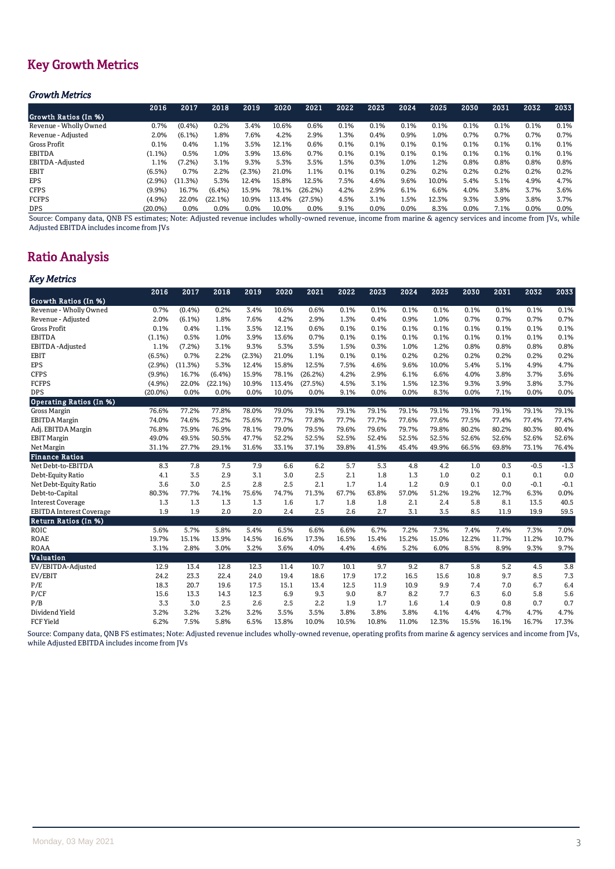# Key Growth Metrics

## *Growth Metrics*

|                        | 2016      | 2017      | 2018      | 2019    | 2020   | 2021    | 2022 | 2023    | 2024 | 2025  | 2030 | 2031 | 2032    | 2033    |
|------------------------|-----------|-----------|-----------|---------|--------|---------|------|---------|------|-------|------|------|---------|---------|
| Growth Ratios (In %)   |           |           |           |         |        |         |      |         |      |       |      |      |         |         |
| Revenue - Wholly Owned | 0.7%      | $(0.4\%)$ | 0.2%      | 3.4%    | 10.6%  | 0.6%    | 0.1% | 0.1%    | 0.1% | 0.1%  | 0.1% | 0.1% | 0.1%    | 0.1%    |
| Revenue - Adjusted     | 2.0%      | $(6.1\%)$ | 1.8%      | 7.6%    | 4.2%   | 2.9%    | 1.3% | 0.4%    | 0.9% | 1.0%  | 0.7% | 0.7% | 0.7%    | 0.7%    |
| Gross Profit           | 0.1%      | 0.4%      | 1.1%      | 3.5%    | 12.1%  | 0.6%    | 0.1% | 0.1%    | 0.1% | 0.1%  | 0.1% | 0.1% | 0.1%    | 0.1%    |
| <b>EBITDA</b>          | (1.1%)    | 0.5%      | 1.0%      | 3.9%    | 13.6%  | 0.7%    | 0.1% | 0.1%    | 0.1% | 0.1%  | 0.1% | 0.1% | 0.1%    | 0.1%    |
| EBITDA-Adjusted        | 1.1%      | $(7.2\%)$ | 3.1%      | 9.3%    | 5.3%   | 3.5%    | 1.5% | 0.3%    | 1.0% | 1.2%  | 0.8% | 0.8% | 0.8%    | 0.8%    |
| <b>EBIT</b>            | (6.5%)    | 0.7%      | 2.2%      | (2.3%)  | 21.0%  | 1.1%    | 0.1% | 0.1%    | 0.2% | 0.2%  | 0.2% | 0.2% | 0.2%    | 0.2%    |
| <b>EPS</b>             | $(2.9\%)$ | (11.3%)   | 5.3%      | 12.4%   | 15.8%  | 12.5%   | 7.5% | 4.6%    | 9.6% | 10.0% | 5.4% | 5.1% | 4.9%    | 4.7%    |
| <b>CFPS</b>            | $(9.9\%)$ | 16.7%     | $(6.4\%)$ | 15.9%   | 78.1%  | (26.2%) | 4.2% | 2.9%    | 6.1% | 6.6%  | 4.0% | 3.8% | 3.7%    | 3.6%    |
| <b>FCFPS</b>           | (4.9%)    | 22.0%     | (22.1%)   | 10.9%   | 113.4% | (27.5%) | 4.5% | 3.1%    | 1.5% | 12.3% | 9.3% | 3.9% | 3.8%    | 3.7%    |
| <b>DPS</b>             | (20.0%)   | 0.0%      | 0.0%      | $0.0\%$ | 10.0%  | $0.0\%$ | 9.1% | $0.0\%$ | 0.0% | 8.3%  | 0.0% | 7.1% | $0.0\%$ | $0.0\%$ |

Source: Company data, QNB FS estimates; Note: Adjusted revenue includes wholly-owned revenue, income from marine & agency services and income from JVs, while Adjusted EBITDA includes income from JVs

# Ratio Analysis

## *Key Metrics*

|                                 | 2016       | 2017      | 2018    | 2019   | 2020   | 2021    | 2022  | 2023  | 2024  | 2025  | 2030  | 2031  | 2032   | 2033   |
|---------------------------------|------------|-----------|---------|--------|--------|---------|-------|-------|-------|-------|-------|-------|--------|--------|
| Growth Ratios (In %)            |            |           |         |        |        |         |       |       |       |       |       |       |        |        |
| Revenue - Wholly Owned          | 0.7%       | (0.4% )   | 0.2%    | 3.4%   | 10.6%  | 0.6%    | 0.1%  | 0.1%  | 0.1%  | 0.1%  | 0.1%  | 0.1%  | 0.1%   | 0.1%   |
| Revenue - Adjusted              | 2.0%       | $(6.1\%)$ | 1.8%    | 7.6%   | 4.2%   | 2.9%    | 1.3%  | 0.4%  | 0.9%  | 1.0%  | 0.7%  | 0.7%  | 0.7%   | 0.7%   |
| <b>Gross Profit</b>             | 0.1%       | 0.4%      | 1.1%    | 3.5%   | 12.1%  | 0.6%    | 0.1%  | 0.1%  | 0.1%  | 0.1%  | 0.1%  | 0.1%  | 0.1%   | 0.1%   |
| <b>EBITDA</b>                   | (1.1%)     | 0.5%      | 1.0%    | 3.9%   | 13.6%  | 0.7%    | 0.1%  | 0.1%  | 0.1%  | 0.1%  | 0.1%  | 0.1%  | 0.1%   | 0.1%   |
| EBITDA-Adjusted                 | 1.1%       | (7.2%)    | 3.1%    | 9.3%   | 5.3%   | 3.5%    | 1.5%  | 0.3%  | 1.0%  | 1.2%  | 0.8%  | 0.8%  | 0.8%   | 0.8%   |
| <b>EBIT</b>                     | (6.5%)     | 0.7%      | 2.2%    | (2.3%) | 21.0%  | 1.1%    | 0.1%  | 0.1%  | 0.2%  | 0.2%  | 0.2%  | 0.2%  | 0.2%   | 0.2%   |
| <b>EPS</b>                      | (2.9%)     | (11.3%)   | 5.3%    | 12.4%  | 15.8%  | 12.5%   | 7.5%  | 4.6%  | 9.6%  | 10.0% | 5.4%  | 5.1%  | 4.9%   | 4.7%   |
| <b>CFPS</b>                     | (9.9%      | 16.7%     | (6.4%)  | 15.9%  | 78.1%  | (26.2%) | 4.2%  | 2.9%  | 6.1%  | 6.6%  | 4.0%  | 3.8%  | 3.7%   | 3.6%   |
| <b>FCFPS</b>                    | (4.9%)     | 22.0%     | (22.1%) | 10.9%  | 113.4% | (27.5%) | 4.5%  | 3.1%  | 1.5%  | 12.3% | 9.3%  | 3.9%  | 3.8%   | 3.7%   |
| <b>DPS</b>                      | $(20.0\%)$ | 0.0%      | 0.0%    | 0.0%   | 10.0%  | 0.0%    | 9.1%  | 0.0%  | 0.0%  | 8.3%  | 0.0%  | 7.1%  | 0.0%   | 0.0%   |
| <b>Operating Ratios (In %)</b>  |            |           |         |        |        |         |       |       |       |       |       |       |        |        |
| Gross Margin                    | 76.6%      | 77.2%     | 77.8%   | 78.0%  | 79.0%  | 79.1%   | 79.1% | 79.1% | 79.1% | 79.1% | 79.1% | 79.1% | 79.1%  | 79.1%  |
| <b>EBITDA</b> Margin            | 74.0%      | 74.6%     | 75.2%   | 75.6%  | 77.7%  | 77.8%   | 77.7% | 77.7% | 77.6% | 77.6% | 77.5% | 77.4% | 77.4%  | 77.4%  |
| Adj. EBITDA Margin              | 76.8%      | 75.9%     | 76.9%   | 78.1%  | 79.0%  | 79.5%   | 79.6% | 79.6% | 79.7% | 79.8% | 80.2% | 80.2% | 80.3%  | 80.4%  |
| <b>EBIT Margin</b>              | 49.0%      | 49.5%     | 50.5%   | 47.7%  | 52.2%  | 52.5%   | 52.5% | 52.4% | 52.5% | 52.5% | 52.6% | 52.6% | 52.6%  | 52.6%  |
| Net Margin                      | 31.1%      | 27.7%     | 29.1%   | 31.6%  | 33.1%  | 37.1%   | 39.8% | 41.5% | 45.4% | 49.9% | 66.5% | 69.8% | 73.1%  | 76.4%  |
| <b>Finance Ratios</b>           |            |           |         |        |        |         |       |       |       |       |       |       |        |        |
| Net Debt-to-EBITDA              | 8.3        | 7.8       | 7.5     | 7.9    | 6.6    | 6.2     | 5.7   | 5.3   | 4.8   | 4.2   | 1.0   | 0.3   | $-0.5$ | $-1.3$ |
| Debt-Equity Ratio               | 4.1        | 3.5       | 2.9     | 3.1    | 3.0    | 2.5     | 2.1   | 1.8   | 1.3   | 1.0   | 0.2   | 0.1   | 0.1    | 0.0    |
| Net Debt-Equity Ratio           | 3.6        | 3.0       | 2.5     | 2.8    | 2.5    | 2.1     | 1.7   | 1.4   | 1.2   | 0.9   | 0.1   | 0.0   | $-0.1$ | $-0.1$ |
| Debt-to-Capital                 | 80.3%      | 77.7%     | 74.1%   | 75.6%  | 74.7%  | 71.3%   | 67.7% | 63.8% | 57.0% | 51.2% | 19.2% | 12.7% | 6.3%   | 0.0%   |
| <b>Interest Coverage</b>        | 1.3        | 1.3       | 1.3     | 1.3    | 1.6    | 1.7     | 1.8   | 1.8   | 2.1   | 2.4   | 5.8   | 8.1   | 13.5   | 40.5   |
| <b>EBITDA</b> Interest Coverage | 1.9        | 1.9       | 2.0     | 2.0    | 2.4    | 2.5     | 2.6   | 2.7   | 3.1   | 3.5   | 8.5   | 11.9  | 19.9   | 59.5   |
| <b>Return Ratios (In %)</b>     |            |           |         |        |        |         |       |       |       |       |       |       |        |        |
| <b>ROIC</b>                     | 5.6%       | 5.7%      | 5.8%    | 5.4%   | 6.5%   | 6.6%    | 6.6%  | 6.7%  | 7.2%  | 7.3%  | 7.4%  | 7.4%  | 7.3%   | 7.0%   |
| <b>ROAE</b>                     | 19.7%      | 15.1%     | 13.9%   | 14.5%  | 16.6%  | 17.3%   | 16.5% | 15.4% | 15.2% | 15.0% | 12.2% | 11.7% | 11.2%  | 10.7%  |
| <b>ROAA</b>                     | 3.1%       | 2.8%      | 3.0%    | 3.2%   | 3.6%   | 4.0%    | 4.4%  | 4.6%  | 5.2%  | 6.0%  | 8.5%  | 8.9%  | 9.3%   | 9.7%   |
| Valuation                       |            |           |         |        |        |         |       |       |       |       |       |       |        |        |
| EV/EBITDA-Adjusted              | 12.9       | 13.4      | 12.8    | 12.3   | 11.4   | 10.7    | 10.1  | 9.7   | 9.2   | 8.7   | 5.8   | 5.2   | 4.5    | 3.8    |
| EV/EBIT                         | 24.2       | 23.3      | 22.4    | 24.0   | 19.4   | 18.6    | 17.9  | 17.2  | 16.5  | 15.6  | 10.8  | 9.7   | 8.5    | 7.3    |
| P/E                             | 18.3       | 20.7      | 19.6    | 17.5   | 15.1   | 13.4    | 12.5  | 11.9  | 10.9  | 9.9   | 7.4   | 7.0   | 6.7    | 6.4    |
| P/CF                            | 15.6       | 13.3      | 14.3    | 12.3   | 6.9    | 9.3     | 9.0   | 8.7   | 8.2   | 7.7   | 6.3   | 6.0   | 5.8    | 5.6    |
| P/B                             | 3.3        | 3.0       | 2.5     | 2.6    | 2.5    | 2.2     | 1.9   | 1.7   | 1.6   | 1.4   | 0.9   | 0.8   | 0.7    | 0.7    |
| Dividend Yield                  | 3.2%       | 3.2%      | 3.2%    | 3.2%   | 3.5%   | 3.5%    | 3.8%  | 3.8%  | 3.8%  | 4.1%  | 4.4%  | 4.7%  | 4.7%   | 4.7%   |
| <b>FCF Yield</b>                | 6.2%       | 7.5%      | 5.8%    | 6.5%   | 13.8%  | 10.0%   | 10.5% | 10.8% | 11.0% | 12.3% | 15.5% | 16.1% | 16.7%  | 17.3%  |

Source: Company data, QNB FS estimates; Note: Adjusted revenue includes wholly-owned revenue, operating profits from marine & agency services and income from JVs, while Adjusted EBITDA includes income from JVs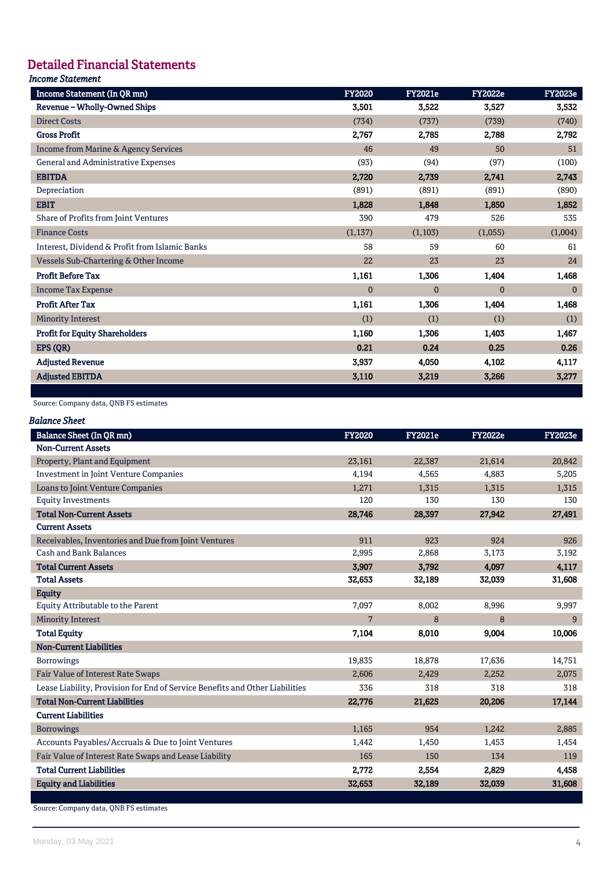# Detailed Financial Statements

# *Income Statement*

| Income Statement (In QR mn)                    | <b>FY2020</b> | <b>FY2021e</b> | <b>FY2022e</b> | <b>FY2023e</b> |
|------------------------------------------------|---------------|----------------|----------------|----------------|
| Revenue - Wholly-Owned Ships                   | 3,501         | 3,522          | 3,527          | 3,532          |
| <b>Direct Costs</b>                            | (734)         | (737)          | (739)          | (740)          |
| <b>Gross Profit</b>                            | 2,767         | 2,785          | 2,788          | 2,792          |
| Income from Marine & Agency Services           | 46            | 49             | 50             | 51             |
| General and Administrative Expenses            | (93)          | (94)           | (97)           | (100)          |
| <b>EBITDA</b>                                  | 2,720         | 2,739          | 2,741          | 2,743          |
| Depreciation                                   | (891)         | (891)          | (891)          | (890)          |
| <b>EBIT</b>                                    | 1,828         | 1,848          | 1,850          | 1,852          |
| Share of Profits from Joint Ventures           | 390           | 479            | 526            | 535            |
| <b>Finance Costs</b>                           | (1,137)       | (1,103)        | (1,055)        | (1,004)        |
| Interest, Dividend & Profit from Islamic Banks | 58            | 59             | 60             | 61             |
| Vessels Sub-Chartering & Other Income          | 22            | 23             | 23             | 24             |
| <b>Profit Before Tax</b>                       | 1,161         | 1,306          | 1,404          | 1,468          |
| <b>Income Tax Expense</b>                      | $\Omega$      | $\Omega$       | $\mathbf{0}$   | $\Omega$       |
| <b>Profit After Tax</b>                        | 1,161         | 1,306          | 1,404          | 1,468          |
| <b>Minority Interest</b>                       | (1)           | (1)            | (1)            | (1)            |
| <b>Profit for Equity Shareholders</b>          | 1,160         | 1,306          | 1,403          | 1,467          |
| EPS (QR)                                       | 0.21          | 0.24           | 0.25           | 0.26           |
| <b>Adjusted Revenue</b>                        | 3,937         | 4,050          | 4,102          | 4,117          |
| <b>Adjusted EBITDA</b>                         | 3,110         | 3,219          | 3,266          | 3,277          |

### Source: Company data, QNB FS estimates

| Balance Sheet |  |
|---------------|--|
|---------------|--|

| <b>Balance Sheet (In QR mn)</b>                                              | <b>FY2020</b> | <b>FY2021e</b> | <b>FY2022e</b> | <b>FY2023e</b> |
|------------------------------------------------------------------------------|---------------|----------------|----------------|----------------|
| <b>Non-Current Assets</b>                                                    |               |                |                |                |
| Property, Plant and Equipment                                                | 23,161        | 22,387         | 21,614         | 20,842         |
| <b>Investment in Joint Venture Companies</b>                                 | 4,194         | 4,565          | 4,883          | 5,205          |
| Loans to Joint Venture Companies                                             | 1,271         | 1,315          | 1,315          | 1,315          |
| <b>Equity Investments</b>                                                    | 120           | 130            | 130            | 130            |
| <b>Total Non-Current Assets</b>                                              | 28,746        | 28,397         | 27,942         | 27,491         |
| <b>Current Assets</b>                                                        |               |                |                |                |
| Receivables, Inventories and Due from Joint Ventures                         | 911           | 923            | 924            | 926            |
| <b>Cash and Bank Balances</b>                                                | 2,995         | 2,868          | 3,173          | 3,192          |
| <b>Total Current Assets</b>                                                  | 3,907         | 3.792          | 4.097          | 4,117          |
| <b>Total Assets</b>                                                          | 32,653        | 32,189         | 32,039         | 31,608         |
| <b>Equity</b>                                                                |               |                |                |                |
| <b>Equity Attributable to the Parent</b>                                     | 7,097         | 8,002          | 8,996          | 9,997          |
| <b>Minority Interest</b>                                                     | 7             | 8              | 8              | 9              |
| <b>Total Equity</b>                                                          | 7,104         | 8,010          | 9,004          | 10,006         |
| <b>Non-Current Liabilities</b>                                               |               |                |                |                |
| <b>Borrowings</b>                                                            | 19,835        | 18,878         | 17,636         | 14,751         |
| <b>Fair Value of Interest Rate Swaps</b>                                     | 2,606         | 2.429          | 2,252          | 2,075          |
| Lease Liability, Provision for End of Service Benefits and Other Liabilities | 336           | 318            | 318            | 318            |
| <b>Total Non-Current Liabilities</b>                                         | 22,776        | 21,625         | 20,206         | 17,144         |
| <b>Current Liabilities</b>                                                   |               |                |                |                |
| <b>Borrowings</b>                                                            | 1,165         | 954            | 1,242          | 2,885          |
| Accounts Payables/Accruals & Due to Joint Ventures                           | 1,442         | 1,450          | 1,453          | 1,454          |
| Fair Value of Interest Rate Swaps and Lease Liability                        | 165           | 150            | 134            | 119            |
| <b>Total Current Liabilities</b>                                             | 2,772         | 2,554          | 2,829          | 4,458          |
| <b>Equity and Liabilities</b>                                                | 32,653        | 32,189         | 32,039         | 31,608         |
|                                                                              |               |                |                |                |

Source: Company data, QNB FS estimates